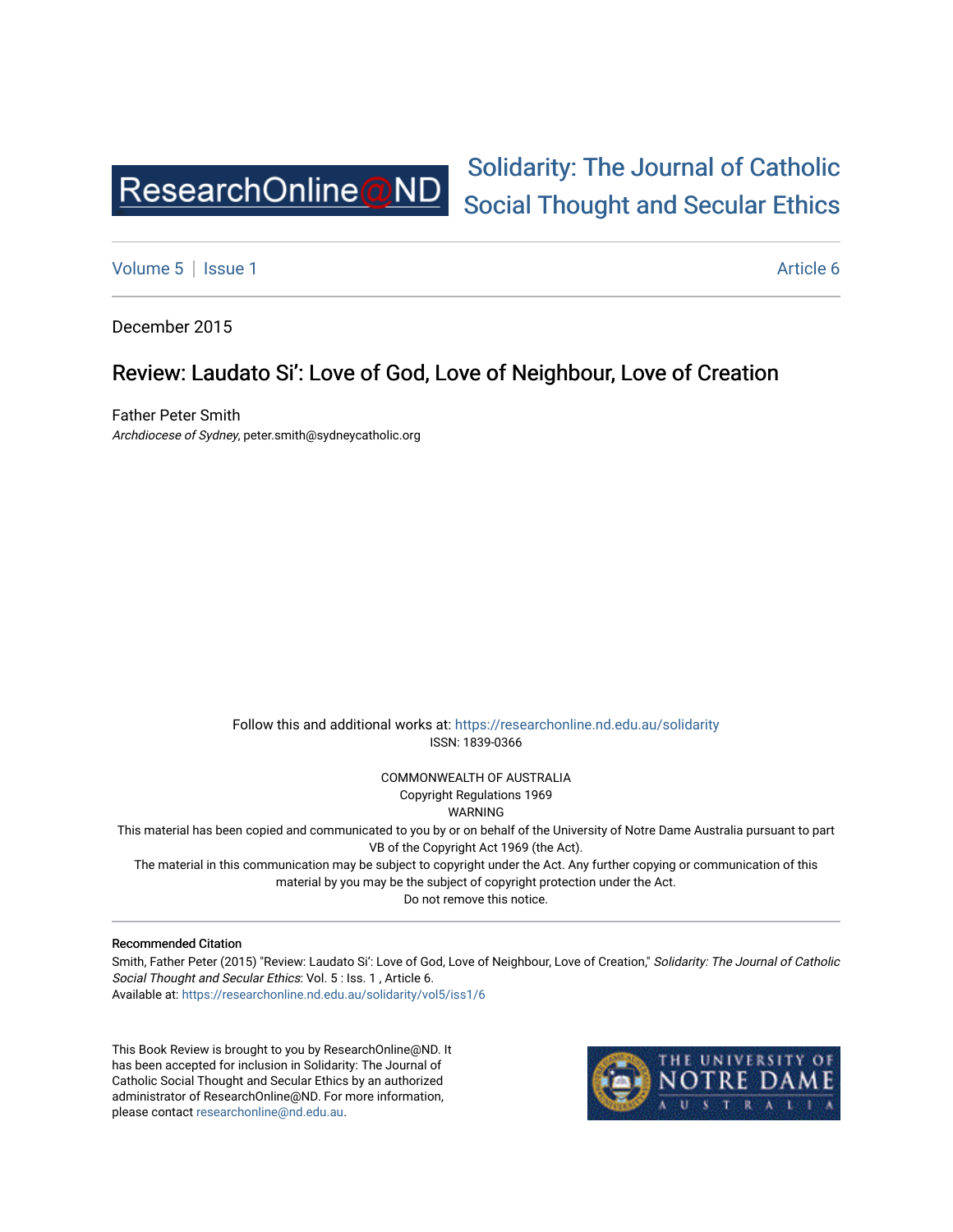

# [Solidarity: The Journal of Catholic](https://researchonline.nd.edu.au/solidarity)  [Social Thought and Secular Ethics](https://researchonline.nd.edu.au/solidarity)

[Volume 5](https://researchonline.nd.edu.au/solidarity/vol5) | [Issue 1](https://researchonline.nd.edu.au/solidarity/vol5/iss1) Article 6

December 2015

# Review: Laudato Si': Love of God, Love of Neighbour, Love of Creation

Father Peter Smith Archdiocese of Sydney, peter.smith@sydneycatholic.org

> Follow this and additional works at: [https://researchonline.nd.edu.au/solidarity](https://researchonline.nd.edu.au/solidarity?utm_source=researchonline.nd.edu.au%2Fsolidarity%2Fvol5%2Fiss1%2F6&utm_medium=PDF&utm_campaign=PDFCoverPages)  ISSN: 1839-0366

> > COMMONWEALTH OF AUSTRALIA Copyright Regulations 1969

WARNING

This material has been copied and communicated to you by or on behalf of the University of Notre Dame Australia pursuant to part VB of the Copyright Act 1969 (the Act).

The material in this communication may be subject to copyright under the Act. Any further copying or communication of this material by you may be the subject of copyright protection under the Act.

Do not remove this notice.

#### Recommended Citation

Smith, Father Peter (2015) "Review: Laudato Si': Love of God, Love of Neighbour, Love of Creation," Solidarity: The Journal of Catholic Social Thought and Secular Ethics: Vol. 5 : Iss. 1, Article 6. Available at: [https://researchonline.nd.edu.au/solidarity/vol5/iss1/6](https://researchonline.nd.edu.au/solidarity/vol5/iss1/6?utm_source=researchonline.nd.edu.au%2Fsolidarity%2Fvol5%2Fiss1%2F6&utm_medium=PDF&utm_campaign=PDFCoverPages) 

This Book Review is brought to you by ResearchOnline@ND. It has been accepted for inclusion in Solidarity: The Journal of Catholic Social Thought and Secular Ethics by an authorized administrator of ResearchOnline@ND. For more information, please contact [researchonline@nd.edu.au.](mailto:researchonline@nd.edu.au)

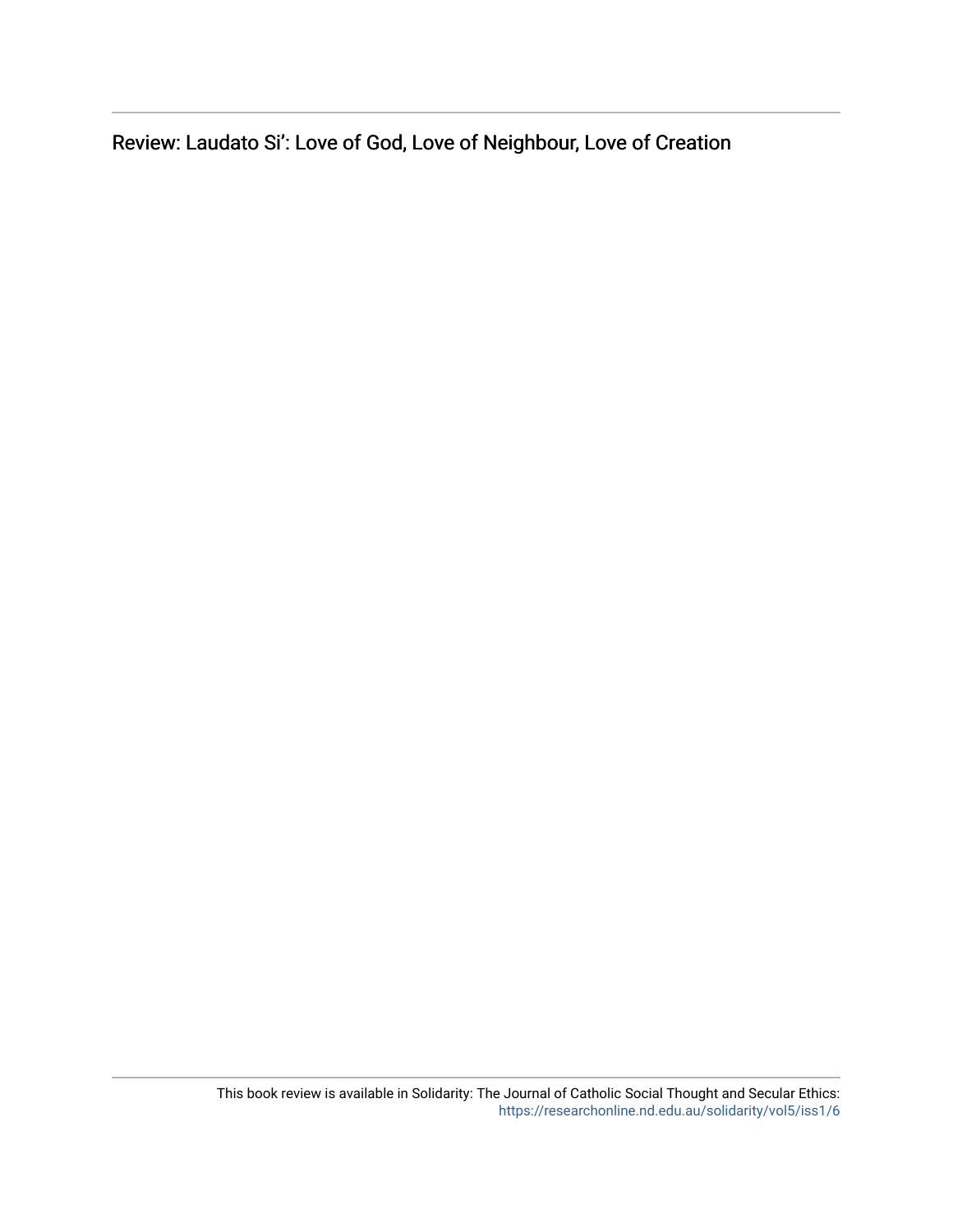Review: Laudato Si': Love of God, Love of Neighbour, Love of Creation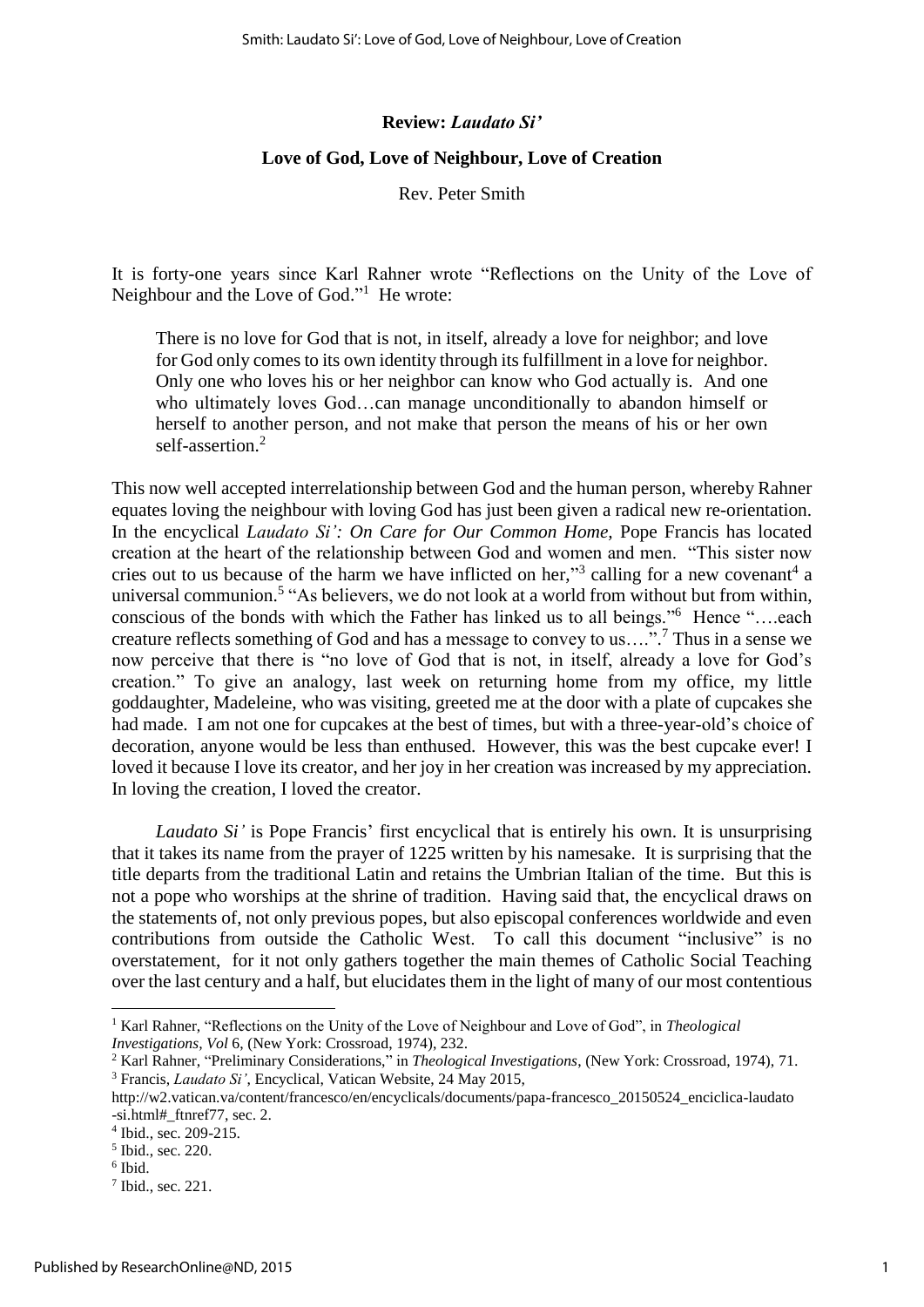## **Review:** *Laudato Si'*

### **Love of God, Love of Neighbour, Love of Creation**

Rev. Peter Smith

It is forty-one years since Karl Rahner wrote "Reflections on the Unity of the Love of Neighbour and the Love of God."<sup>1</sup> He wrote:

There is no love for God that is not, in itself, already a love for neighbor; and love for God only comes to its own identity through its fulfillment in a love for neighbor. Only one who loves his or her neighbor can know who God actually is. And one who ultimately loves God…can manage unconditionally to abandon himself or herself to another person, and not make that person the means of his or her own self-assertion.<sup>2</sup>

This now well accepted interrelationship between God and the human person, whereby Rahner equates loving the neighbour with loving God has just been given a radical new re-orientation. In the encyclical *Laudato Si': On Care for Our Common Home,* Pope Francis has located creation at the heart of the relationship between God and women and men. "This sister now cries out to us because of the harm we have inflicted on her,"<sup>3</sup> calling for a new covenant<sup>4</sup> a universal communion.<sup>5</sup> "As believers, we do not look at a world from without but from within, conscious of the bonds with which the Father has linked us to all beings."<sup>6</sup> Hence "....each creature reflects something of God and has a message to convey to us….". <sup>7</sup> Thus in a sense we now perceive that there is "no love of God that is not, in itself, already a love for God's creation." To give an analogy, last week on returning home from my office, my little goddaughter, Madeleine, who was visiting, greeted me at the door with a plate of cupcakes she had made. I am not one for cupcakes at the best of times, but with a three-year-old's choice of decoration, anyone would be less than enthused. However, this was the best cupcake ever! I loved it because I love its creator, and her joy in her creation was increased by my appreciation. In loving the creation, I loved the creator.

*Laudato Si'* is Pope Francis' first encyclical that is entirely his own. It is unsurprising that it takes its name from the prayer of 1225 written by his namesake. It is surprising that the title departs from the traditional Latin and retains the Umbrian Italian of the time. But this is not a pope who worships at the shrine of tradition. Having said that, the encyclical draws on the statements of, not only previous popes, but also episcopal conferences worldwide and even contributions from outside the Catholic West. To call this document "inclusive" is no overstatement, for it not only gathers together the main themes of Catholic Social Teaching over the last century and a half, but elucidates them in the light of many of our most contentious

**.** 

<sup>1</sup> Karl Rahner, "Reflections on the Unity of the Love of Neighbour and Love of God", in *Theological Investigations, Vol* 6, (New York: Crossroad, 1974), 232.

<sup>2</sup> Karl Rahner, "Preliminary Considerations," in *Theological Investigations*, (New York: Crossroad, 1974), 71.

<sup>3</sup> Francis, *Laudato Si'*, Encyclical, Vatican Website, 24 May 2015,

[http://w2.vatican.va/content/francesco/en/encyclicals/documents/papa-francesco\\_20150524\\_enciclica-laudato](http://w2.vatican.va/content/francesco/en/encyclicals/documents/papa-francesco_20150524_enciclica-laudato) -si.html#\_ftnref77, sec. 2.

<sup>4</sup> Ibid., sec. 209-215.

<sup>5</sup> Ibid., sec. 220.

<sup>6</sup> Ibid.

<sup>7</sup> Ibid., sec. 221.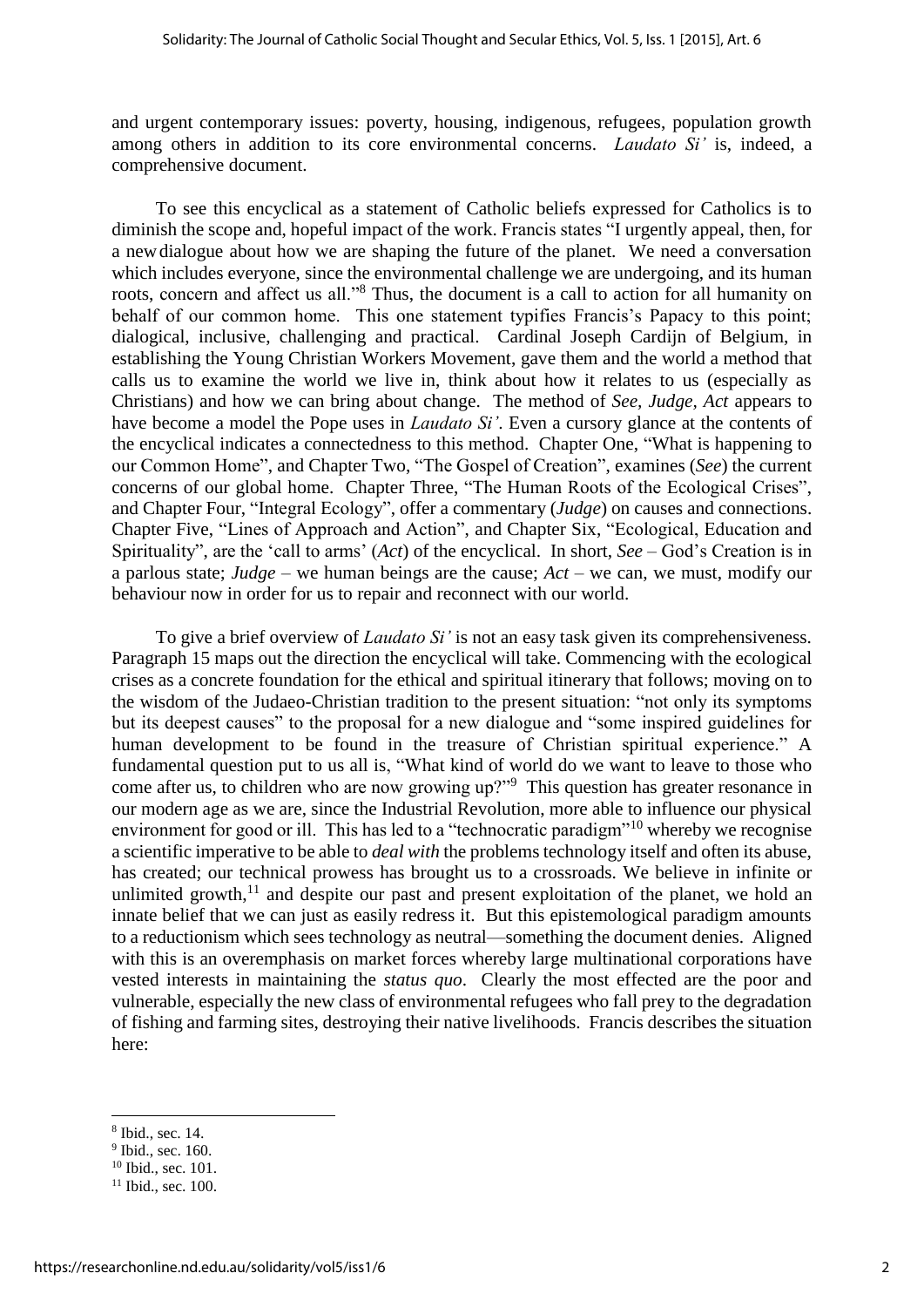and urgent contemporary issues: poverty, housing, indigenous, refugees, population growth among others in addition to its core environmental concerns. *Laudato Si'* is, indeed, a comprehensive document.

To see this encyclical as a statement of Catholic beliefs expressed for Catholics is to diminish the scope and, hopeful impact of the work. Francis states "I urgently appeal, then, for a newdialogue about how we are shaping the future of the planet. We need a conversation which includes everyone, since the environmental challenge we are undergoing, and its human roots, concern and affect us all."<sup>8</sup> Thus, the document is a call to action for all humanity on behalf of our common home. This one statement typifies Francis's Papacy to this point; dialogical, inclusive, challenging and practical. Cardinal Joseph Cardijn of Belgium, in establishing the Young Christian Workers Movement, gave them and the world a method that calls us to examine the world we live in, think about how it relates to us (especially as Christians) and how we can bring about change. The method of *See, Judge, Act* appears to have become a model the Pope uses in *Laudato Si'*. Even a cursory glance at the contents of the encyclical indicates a connectedness to this method. Chapter One, "What is happening to our Common Home", and Chapter Two, "The Gospel of Creation", examines (*See*) the current concerns of our global home. Chapter Three, "The Human Roots of the Ecological Crises", and Chapter Four, "Integral Ecology", offer a commentary (*Judge*) on causes and connections. Chapter Five, "Lines of Approach and Action", and Chapter Six, "Ecological, Education and Spirituality", are the 'call to arms' (*Act*) of the encyclical. In short, *See* – God's Creation is in a parlous state; *Judge* – we human beings are the cause; *Act* – we can, we must, modify our behaviour now in order for us to repair and reconnect with our world.

To give a brief overview of *Laudato Si'* is not an easy task given its comprehensiveness. Paragraph 15 maps out the direction the encyclical will take. Commencing with the ecological crises as a concrete foundation for the ethical and spiritual itinerary that follows; moving on to the wisdom of the Judaeo-Christian tradition to the present situation: "not only its symptoms but its deepest causes" to the proposal for a new dialogue and "some inspired guidelines for human development to be found in the treasure of Christian spiritual experience." A fundamental question put to us all is, "What kind of world do we want to leave to those who come after us, to children who are now growing up?"<sup>9</sup> This question has greater resonance in our modern age as we are, since the Industrial Revolution, more able to influence our physical environment for good or ill. This has led to a "technocratic paradigm"<sup>10</sup> whereby we recognise a scientific imperative to be able to *deal with* the problems technology itself and often its abuse, has created; our technical prowess has brought us to a crossroads. We believe in infinite or unlimited growth, $11$  and despite our past and present exploitation of the planet, we hold an innate belief that we can just as easily redress it. But this epistemological paradigm amounts to a reductionism which sees technology as neutral—something the document denies. Aligned with this is an overemphasis on market forces whereby large multinational corporations have vested interests in maintaining the *status quo*. Clearly the most effected are the poor and vulnerable, especially the new class of environmental refugees who fall prey to the degradation of fishing and farming sites, destroying their native livelihoods. Francis describes the situation here:

**.** 

<sup>8</sup> Ibid., sec. 14.

<sup>&</sup>lt;sup>9</sup> Ibid., sec. 160.

 $10$  Ibid., sec.  $101$ .

<sup>&</sup>lt;sup>11</sup> Ibid., sec. 100.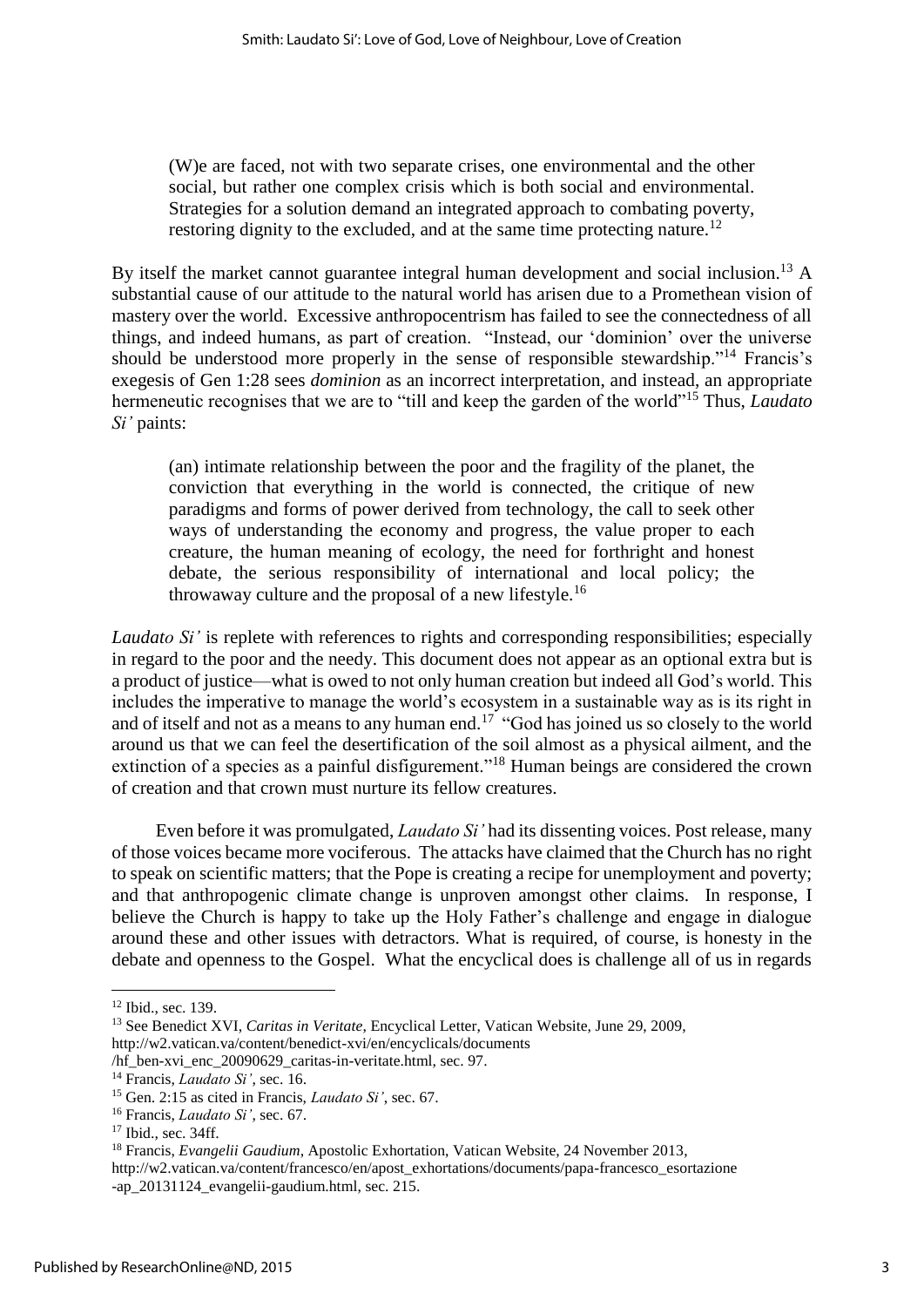(W)e are faced, not with two separate crises, one environmental and the other social, but rather one complex crisis which is both social and environmental. Strategies for a solution demand an integrated approach to combating poverty, restoring dignity to the excluded, and at the same time protecting nature.<sup>12</sup>

By itself the market cannot guarantee integral human development and social inclusion.<sup>13</sup> A substantial cause of our attitude to the natural world has arisen due to a Promethean vision of mastery over the world. Excessive anthropocentrism has failed to see the connectedness of all things, and indeed humans, as part of creation. "Instead, our 'dominion' over the universe should be understood more properly in the sense of responsible stewardship."<sup>14</sup> Francis's exegesis of Gen 1:28 sees *dominion* as an incorrect interpretation, and instead, an appropriate hermeneutic recognises that we are to "till and keep the garden of the world"<sup>15</sup> Thus, *Laudato Si'* paints:

(an) intimate relationship between the poor and the fragility of the planet, the conviction that everything in the world is connected, the critique of new paradigms and forms of power derived from technology, the call to seek other ways of understanding the economy and progress, the value proper to each creature, the human meaning of ecology, the need for forthright and honest debate, the serious responsibility of international and local policy; the throwaway culture and the proposal of a new lifestyle.<sup>16</sup>

*Laudato Si'* is replete with references to rights and corresponding responsibilities; especially in regard to the poor and the needy. This document does not appear as an optional extra but is a product of justice—what is owed to not only human creation but indeed all God's world. This includes the imperative to manage the world's ecosystem in a sustainable way as is its right in and of itself and not as a means to any human end.<sup>17</sup> "God has joined us so closely to the world around us that we can feel the desertification of the soil almost as a physical ailment, and the extinction of a species as a painful disfigurement."<sup>18</sup> Human beings are considered the crown of creation and that crown must nurture its fellow creatures.

Even before it was promulgated, *Laudato Si'* had its dissenting voices. Post release, many of those voices became more vociferous. The attacks have claimed that the Church has no right to speak on scientific matters; that the Pope is creating a recipe for unemployment and poverty; and that anthropogenic climate change is unproven amongst other claims. In response, I believe the Church is happy to take up the Holy Father's challenge and engage in dialogue around these and other issues with detractors. What is required, of course, is honesty in the debate and openness to the Gospel. What the encyclical does is challenge all of us in regards

**<sup>.</sup>** <sup>12</sup> Ibid., sec. 139.

<sup>13</sup> See Benedict XVI, *Caritas in Veritate*, Encyclical Letter, Vatican Website, June 29, 2009, [http://w2.vatican.va/content/benedict-xvi/en/encyclicals/documents](http://w2.vatican.va/content/benedict-xvi/en/encyclicals/documents%20%20%20%20/hf_ben-xvi_enc_20090629_caritas-in-veritate.html) 

[<sup>/</sup>hf\\_ben-xvi\\_enc\\_20090629\\_caritas-in-veritate.html,](http://w2.vatican.va/content/benedict-xvi/en/encyclicals/documents%20%20%20%20/hf_ben-xvi_enc_20090629_caritas-in-veritate.html) sec. 97.

<sup>14</sup> Francis, *Laudato Si'*, sec. 16.

<sup>15</sup> Gen. 2:15 as cited in Francis, *Laudato Si'*, sec. 67.

<sup>16</sup> Francis, *Laudato Si'*, sec. 67.

<sup>&</sup>lt;sup>17</sup> Ibid., sec. 34ff.

<sup>18</sup> Francis, *Evangelii Gaudium*, Apostolic Exhortation, Vatican Website, 24 November 2013,

[http://w2.vatican.va/content/francesco/en/apost\\_exhortations/documents/papa-francesco\\_esortazione](http://w2.vatican.va/content/francesco/en/apost_exhortations/documents/papa-francesco_esortazione%20%20%20%20%20%20%20%20%20%20%20%20%20%20%20%20%20%20%20%20-ap_20131124_evangelii-gaudium.html)  [-ap\\_20131124\\_evangelii-gaudium.html,](http://w2.vatican.va/content/francesco/en/apost_exhortations/documents/papa-francesco_esortazione%20%20%20%20%20%20%20%20%20%20%20%20%20%20%20%20%20%20%20%20-ap_20131124_evangelii-gaudium.html) sec. 215.